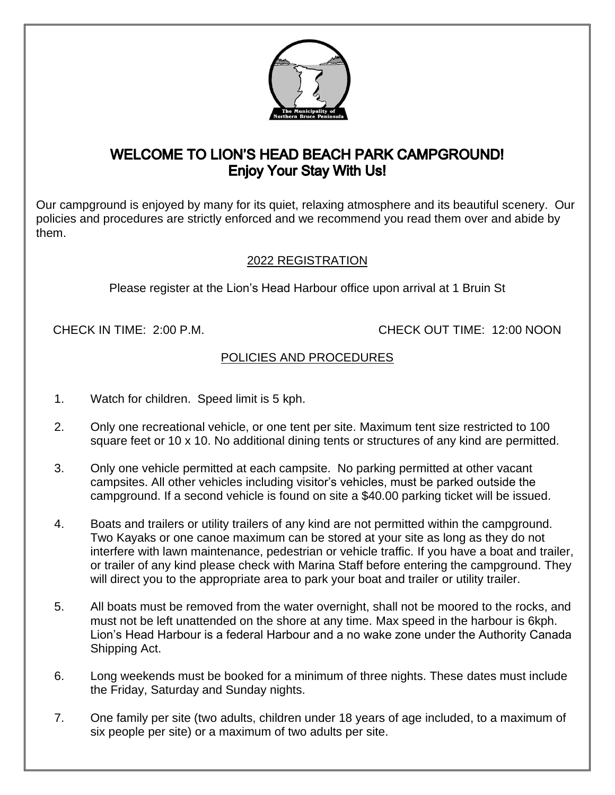

## **WELCOME TO LION'S HEAD BEACH PARK CAMPGROUND! Enjoy Your Stay With Us!**

Our campground is enjoyed by many for its quiet, relaxing atmosphere and its beautiful scenery. Our policies and procedures are strictly enforced and we recommend you read them over and abide by them.

## 2022 REGISTRATION

Please register at the Lion's Head Harbour office upon arrival at 1 Bruin St

CHECK IN TIME: 2:00 P.M. CHECK OUT TIME: 12:00 NOON

## POLICIES AND PROCEDURES

- 1. Watch for children. Speed limit is 5 kph.
- 2. Only one recreational vehicle, or one tent per site. Maximum tent size restricted to 100 square feet or 10 x 10. No additional dining tents or structures of any kind are permitted.
- 3. Only one vehicle permitted at each campsite. No parking permitted at other vacant campsites. All other vehicles including visitor's vehicles, must be parked outside the campground. If a second vehicle is found on site a \$40.00 parking ticket will be issued.
- 4. Boats and trailers or utility trailers of any kind are not permitted within the campground. Two Kayaks or one canoe maximum can be stored at your site as long as they do not interfere with lawn maintenance, pedestrian or vehicle traffic. If you have a boat and trailer, or trailer of any kind please check with Marina Staff before entering the campground. They will direct you to the appropriate area to park your boat and trailer or utility trailer.
- 5. All boats must be removed from the water overnight, shall not be moored to the rocks, and must not be left unattended on the shore at any time. Max speed in the harbour is 6kph. Lion's Head Harbour is a federal Harbour and a no wake zone under the Authority Canada Shipping Act.
- 6. Long weekends must be booked for a minimum of three nights. These dates must include the Friday, Saturday and Sunday nights.
- 7. One family per site (two adults, children under 18 years of age included, to a maximum of six people per site) or a maximum of two adults per site.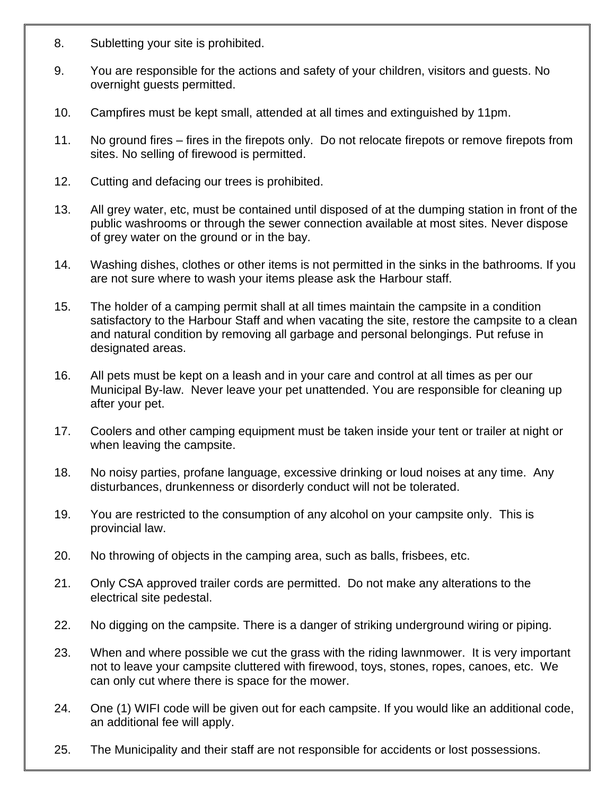- 8. Subletting your site is prohibited.
- 9. You are responsible for the actions and safety of your children, visitors and guests. No overnight guests permitted.
- 10. Campfires must be kept small, attended at all times and extinguished by 11pm.
- 11. No ground fires fires in the firepots only. Do not relocate firepots or remove firepots from sites. No selling of firewood is permitted.
- 12. Cutting and defacing our trees is prohibited.
- 13. All grey water, etc, must be contained until disposed of at the dumping station in front of the public washrooms or through the sewer connection available at most sites. Never dispose of grey water on the ground or in the bay.
- 14. Washing dishes, clothes or other items is not permitted in the sinks in the bathrooms. If you are not sure where to wash your items please ask the Harbour staff.
- 15. The holder of a camping permit shall at all times maintain the campsite in a condition satisfactory to the Harbour Staff and when vacating the site, restore the campsite to a clean and natural condition by removing all garbage and personal belongings. Put refuse in designated areas.
- 16. All pets must be kept on a leash and in your care and control at all times as per our Municipal By-law. Never leave your pet unattended. You are responsible for cleaning up after your pet.
- 17. Coolers and other camping equipment must be taken inside your tent or trailer at night or when leaving the campsite.
- 18. No noisy parties, profane language, excessive drinking or loud noises at any time. Any disturbances, drunkenness or disorderly conduct will not be tolerated.
- 19. You are restricted to the consumption of any alcohol on your campsite only. This is provincial law.
- 20. No throwing of objects in the camping area, such as balls, frisbees, etc.
- 21. Only CSA approved trailer cords are permitted. Do not make any alterations to the electrical site pedestal.
- 22. No digging on the campsite. There is a danger of striking underground wiring or piping.
- 23. When and where possible we cut the grass with the riding lawnmower. It is very important not to leave your campsite cluttered with firewood, toys, stones, ropes, canoes, etc. We can only cut where there is space for the mower.
- 24. One (1) WIFI code will be given out for each campsite. If you would like an additional code, an additional fee will apply.
- 25. The Municipality and their staff are not responsible for accidents or lost possessions.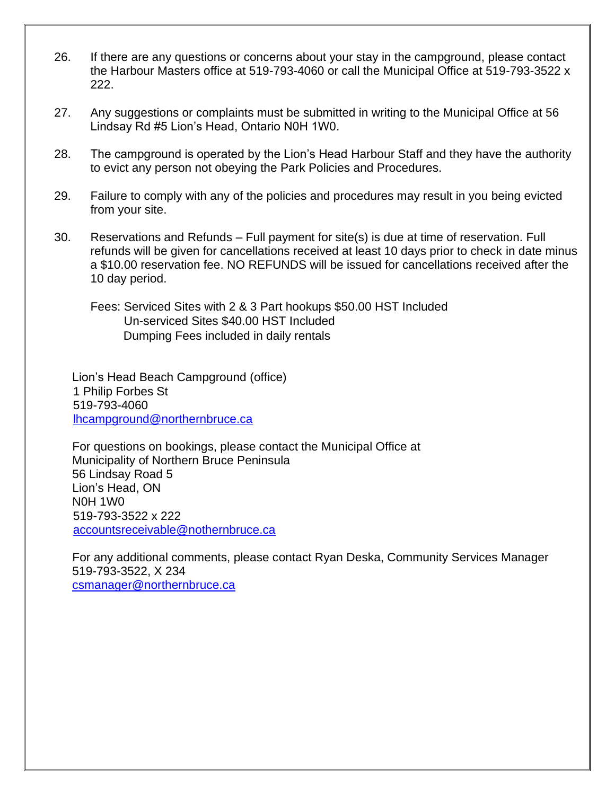- 26. If there are any questions or concerns about your stay in the campground, please contact the Harbour Masters office at 519-793-4060 or call the Municipal Office at 519-793-3522 x 222.
- 27. Any suggestions or complaints must be submitted in writing to the Municipal Office at 56 Lindsay Rd #5 Lion's Head, Ontario N0H 1W0.
- 28. The campground is operated by the Lion's Head Harbour Staff and they have the authority to evict any person not obeying the Park Policies and Procedures.
- 29. Failure to comply with any of the policies and procedures may result in you being evicted from your site.
- 30. Reservations and Refunds Full payment for site(s) is due at time of reservation. Full refunds will be given for cancellations received at least 10 days prior to check in date minus a \$10.00 reservation fee. NO REFUNDS will be issued for cancellations received after the 10 day period.
	- Fees: Serviced Sites with 2 & 3 Part hookups \$50.00 HST Included Un-serviced Sites \$40.00 HST Included Dumping Fees included in daily rentals

Lion's Head Beach Campground (office) 1 Philip Forbes St 519-793-4060 [lhcampground@northernbruce.ca](mailto:lhcampground@northernbruce.ca)

For questions on bookings, please contact the Municipal Office at Municipality of Northern Bruce Peninsula 56 Lindsay Road 5 Lion's Head, ON N0H 1W0 519-793-3522 x 222 [accountsreceivable@nothernbruce.ca](mailto:accountsreceivable@nothernbruce.ca)

For any additional comments, please contact Ryan Deska, Community Services Manager 519-793-3522, X 234 [csmanager@northernbruce.ca](mailto:csmanager@northernbruce.ca)